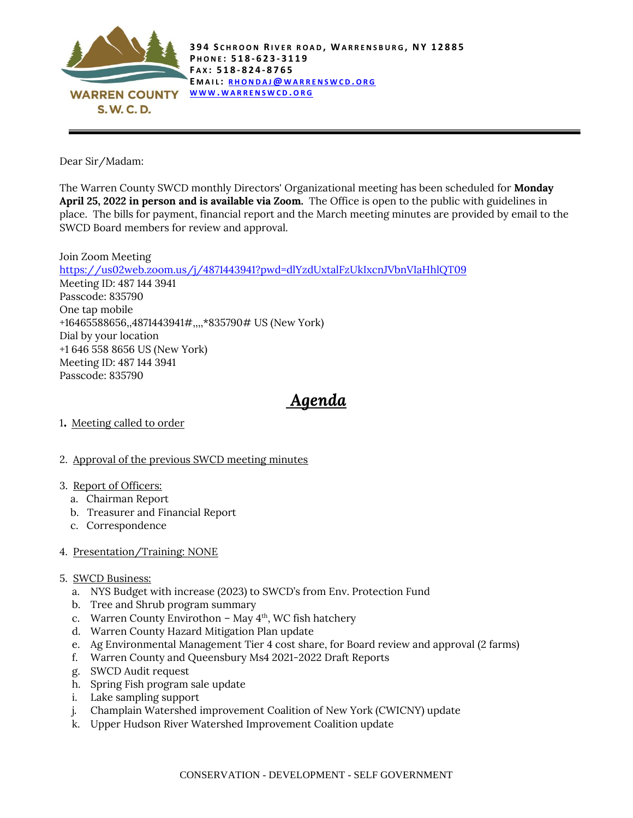

Dear Sir/Madam:

The Warren County SWCD monthly Directors' Organizational meeting has been scheduled for **Monday April 25, 2022 in person and is available via Zoom.** The Office is open to the public with guidelines in place. The bills for payment, financial report and the March meeting minutes are provided by email to the SWCD Board members for review and approval.

Join Zoom Meeting <https://us02web.zoom.us/j/4871443941?pwd=dlYzdUxtalFzUkIxcnJVbnVIaHhlQT09> Meeting ID: 487 144 3941 Passcode: 835790 One tap mobile +16465588656,,4871443941#,,,,\*835790# US (New York) Dial by your location +1 646 558 8656 US (New York) Meeting ID: 487 144 3941 Passcode: 835790

## *Agenda*

- <sup>1</sup>. Meeting called to order
- 2. Approval of the previous SWCD meeting minutes
- 3. Report of Officers:
	- a. Chairman Report
	- b. Treasurer and Financial Report
	- c. Correspondence

## 4. Presentation/Training: NONE

- 5. SWCD Business:
	- a. NYS Budget with increase (2023) to SWCD's from Env. Protection Fund
	- b. Tree and Shrub program summary
	- c. Warren County Envirothon May 4<sup>th</sup>, WC fish hatchery
	- d. Warren County Hazard Mitigation Plan update
	- e. Ag Environmental Management Tier 4 cost share, for Board review and approval (2 farms)
	- f. Warren County and Queensbury Ms4 2021-2022 Draft Reports
	- g. SWCD Audit request
	- h. Spring Fish program sale update
	- i. Lake sampling support
	- j. Champlain Watershed improvement Coalition of New York (CWICNY) update
	- k. Upper Hudson River Watershed Improvement Coalition update